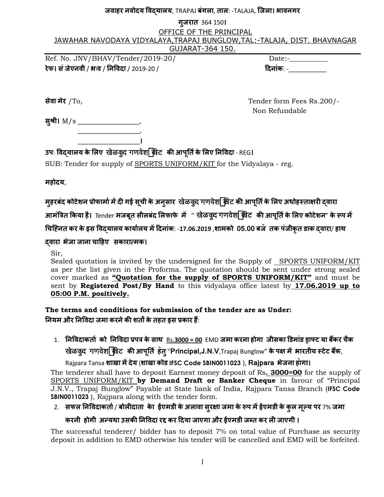#### **जवाहर नवोदय वयालय**, TRAPAJ **बंगला**, **ताल**: -TALAJA, **िजला। भावनगर**

#### **गजरात ु** 364 150**।**

#### OFFICE OF THE PRINCIPAL JAWAHAR NAVODAYA VIDYALAYA,TRAPAJ BUNGLOW,TAL:-TALAJA, DIST. BHAVNAGAR GUJARAT-364 150.

Ref. No. JNV/BHAV/Tender/2019-20/ Date:-**रेफ। संजेएनवी** / **भ**a**व** / **न** 

\_\_\_\_\_\_\_\_\_\_\_\_\_\_\_\_\_\_**।**

**दिनांक**: -

**सेवा मेर** /To, Tender form Fees Rs.200/- Non Refundable

स्श्री। M/s \_\_\_\_\_\_\_\_\_\_\_\_\_\_\_\_\_\_\_\_\_  $\overline{\phantom{a}}$  ,  $\overline{\phantom{a}}$  ,  $\overline{\phantom{a}}$  ,  $\overline{\phantom{a}}$  ,  $\overline{\phantom{a}}$  ,  $\overline{\phantom{a}}$  ,  $\overline{\phantom{a}}$  ,  $\overline{\phantom{a}}$  ,  $\overline{\phantom{a}}$  ,  $\overline{\phantom{a}}$  ,  $\overline{\phantom{a}}$  ,  $\overline{\phantom{a}}$  ,  $\overline{\phantom{a}}$  ,  $\overline{\phantom{a}}$  ,  $\overline{\phantom{a}}$  ,  $\overline{\phantom{a}}$ 

## **उप**:  **वयालय के"लए** KaoLkud gaNavaoSaãkIT **क# आपत& ू के"लए न वदा** - REG**।**

SUB: Tender for supply of SPORTS UNIFORM/KIT for the Vidyalaya - reg.

**महोदय**,

**महरबंद ु कोटेशन )ोफामा&म\*द+ गई सची ू केअनसार ु** KaoLkud gaNavaoSaãkIT **क# आपत& ू के"लए अधोह0ता1र+ वारा**

 $\frac{1}{2}$  अामंत्रित किया है। Tender मजबूत सीलबंद लिफाफे में " खेळकु्द गणवेशर्देकीट की आपूर्ति के लिए कोटेशन" के रूप में

**7चि8नत कर केइस वयालय काया&लय म\*दनांक**: -**17.06.2019** ,**शामको 05.00 बज॓ तक पंजीकृत डाक वारा**/ **हाथ** 

#### **वारा भेजा जाना चाहए सकाराAमक।**

Sir,

Sealed quotation is invited by the undersigned for the Supply of SPORTS UNIFORM/KIT as per the list given in the Proforma. The quotation should be sent under strong sealed cover marked as **"Quotation for the supply of SPORTS UNIFORM/KIT"** and must be sent by **Registered Post/By Hand** to this vidyalaya office latest by **17.06.2019 up to 05:00 P.M. positively.** 

**The terms and conditions for submission of the tender are as Under: नियम और निविदा जमा करने की शतों के तहत इस प्रकार हैं:** 

1. निविदाकर्ता को निविदा प्रपत्र के साथ <u>Rs.**3000 = 00** EMD जमा करना होगा जीसका डिमांड ड्राफ्ट या बैंकर चैक</u> Rada Buran and Panavas and the Trengtow of the origin of the interpretation of the interpretational and the contr<br>Bangler of Hunglow and the Hardan Finda and the contract of the set of the interpretational and the set of

Rajpara Tansa **शाखा म\*देय** (**शाखा कोड IFSC Code SBIN0011023** ), **Rajpara भेजना हा॓गा।**

The tenderer shall have to deposit Earnest money deposit of Rs**. 3000=00** for the supply of SPORTS UNIFORM/KIT **by Demand Draft or Banker Cheque** in favour of "Principal J.N.V., Trapaj Bunglow" Payable at State bank of India, Rajpara Tansa Branch (**IFSC Code SBIN0011023** ), Rajpara along with the tender form.

2. **सफल न वदाकता&** / **बोल+दाता के ा ईएमडी केअलावा सर1ा ु जमा के6प म\*ईएमडी केकुल मWयू पर** 7% **जमा**

### **करनी होगी अXयथा उसक# न वदा रY कर दया जाएगा और ईएमडी जZत कर ल+ जाएगी ।**

The successful tenderer/ bidder has to deposit 7% on total value of Purchase as security deposit in addition to EMD otherwise his tender will be cancelled and EMD will be forfeited.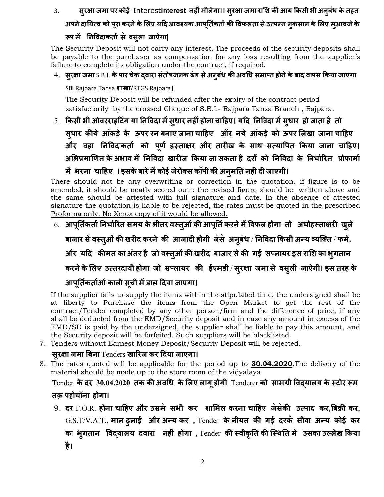3. **सर1ा ु जमा पर कोई** Interest**Interest नह+ंमीलेगा।। सर1ा ु जमा रा"श क# आय 4कसी भी अनबंधु केतहत**

## **अपनेदायAव को परा ू करनेके"लए यद आव\_यक आपत&कता& ू क# वफलता सेउAपXन नकसान ु के"लए मआवजे ु के 6प म\* न वदाकता& स॓ वसला जाऐगा| ु**

The Security Deposit will not carry any interest. The proceeds of the security deposits shall be payable to the purchaser as compensation for any loss resulting from the supplier's failure to complete its obligation under the contract, if required.

 $4.$  सुरक्षा जमा S.B.I. के पार चेक दवारा संतोषजनक ढंग से अनुबंध की अवधि समाप्त होने के बाद वापस किया जाएगा

SBI Rajpara Tansa **शाखा**/RTGS Rajpara**।**

The Security Deposit will be refunded after the expiry of the contract period satisfactorily by the crossed Cheque of S.B.I.- Rajpara Tansa Branch , Rajpara.

5. **4कसी भी ओवरराइटंग या न वदा म\*सुधार नह+ंहोना चाहए। यद न वदा म\*सुधार हो जाता है तो सुधार क#ये आंकड़े के ऊपर रन बनाए जाना चाहए ऑर नये आंकड़े को ऊपर "लखा जाना चाहए और वहा न वदाकता& को पूण& ह0ता1र और तार+ख के साथ सAया पत 4कया जाना चाहए।** अभिप्रमाणित के अभाव मे निविदा खारीज किया जा सकता है दरों को निविदा के निर्धारित प्रोफार्मा **म\* भरना चाहए । इसकेबारेम\*कोई जेरोmस कॉपी क# अनुमत नह+ द+ जाएगी।**

There should not be any overwriting or correction in the quotation. if figure is to be amended, it should be neatly scored out : the revised figure should be written above and the same should be attested with full signature and date. In the absence of attested signature the quotation is liable to be rejected, the rates must be quoted in the prescribed Proforma only. No Xerox copy of it would be allowed.

6. **आपूर्तिकता निर्धारित समय के भीतर वस्तुओं की आपूर्ति करने में विफल होगा तो अधोहस्ताक्षरी खुले** 

बाजार से वस्तुओं की खरीद करने की आजादी होगी जस अनुबंध / निविदा किसी अन्य व्यक्ति / फर्म.

**और यद क#मत का अंतर है जो व0तुओंक# खर+द बाजार सेक# गई सdलायर इस रा"श का भुगतान**

**करनेके"लए उAतरदायी होगा जो सdलायर क# ईएमडी** / **सुर1ा जमा से वसुल+ जाऐगी। इस तरह के**

### **आपूत&कता&ओंकाल+ सूची म\*डाल दया जाएगा।**

If the supplier fails to supply the items within the stipulated time, the undersigned shall be at liberty to Purchase the items from the Open Market to get the rest of the contract/Tender completed by any other person/firm and the difference of price, if any shall be deducted from the EMD/Security deposit and in case any amount in excess of the EMD/SD is paid by the undersigned, the supplier shall be liable to pay this amount, and the Security deposit will be forfeited. Such suppliers will be blacklisted.

7. Tenders without Earnest Money Deposit/Security Deposit will be rejected.

### **सुर1ा जमा 2बना** Tenders **खाlरज कर दया जाएगा।**

8. The rates quoted will be applicable for the period up to **30.04.2020**.The delivery of the material should be made up to the store room of the vidyalaya.

 $\blacksquare$  Tender के दर 30.04.2020 तक की अवधि के लिए लागू होगी Tenderer को सामग्री विद्यालय के स्टोर रूम **तक़ पहोचॉना होगा।**

9. दर F.O.R. होना चाहिए और उसमे सभी कर शामिल करना चाहिए जेसेकी उत्पाद कर,बिक्री कर,  $G.S.T/V.A.T.,$  माल ढूलाई और अन्य कर, Tender के नीयत की गई दरके सीवा अन्य कोई कर **का भुगतान विद्**यालय दवारा नही होगा , Tender की स्वीकृति की स्थिति मे उसका उल्लेख किया **है।**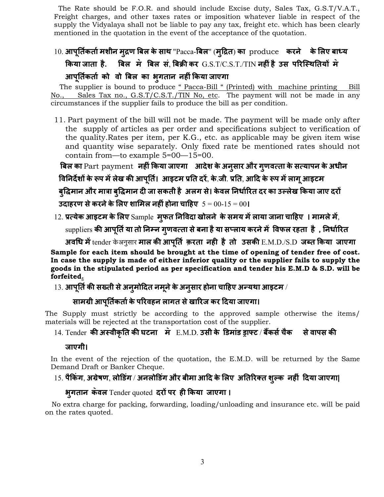The Rate should be F.O.R. and should include Excise duty, Sales Tax, G.S.T/V.A.T., Freight charges, and other taxes rates or imposition whatever liable in respect of the supply the Vidyalaya shall not be liable to pay any tax, freight etc. which has been clearly mentioned in the quotation in the event of the acceptance of the quotation.

# 10. **आपूत&कता&मशीन मुsण 2बल केसाथ** "Pacca-**2बल**" (**मुsत**) **का** produce **करने के"लए बाtय किया जाता है. बिल मे बिल सं, बिक्री कर** G.S.T/C.S.T./TIN नहीं है उस परिस्थितियों मे

## **आपूत&कता& को वो 2बल का भुगतान नह+ं4कया जाएगा**

The supplier is bound to produce " Pacca-Bill " (Printed) with machine printing Bill No., Sales Tax no., G.S.T/C.S.T./TIN No, etc. The payment will not be made in any circumstances if the supplier fails to produce the bill as per condition.

11. Part payment of the bill will not be made. The payment will be made only after the supply of articles as per order and specifications subject to verification of the quality.Rates per item, per K.G., etc. as applicable may be given item wise and quantity wise separately. Only fixed rate be mentioned rates should not contain from—to example 5=00—15=00.

 **2बल का** Part payment **नह+ं4कया जाएगा आदेश केअनुसार और गुणवAता केसAयापन केअधीन**  $\overline{\mathbf{d}}$  **निर्निर्देशों के रूप मे लेख की आपूर्ति। आइटम प्रति दरे, के.जी. प्रति, आदि के रूप मे लागू आइटम** 

 **बु vमान और मा3ा बु vमान द+ जा सकती है अलग से। के वल नधा&lरत दर का उWलेख 4कया जाए दरk उदाहरण सेकरनेके"लए शा"मल नह+ंहोना चाहए** 5 = 00-15 = 00**।**

12. **)Aयेक आइटम के"लए** Sample **मुफत न वदा खोलने केसमय म\*लाया जाना चाहए । मामलेम\***,

 $\sup$ pliers की आपूर्ति या तो निम्न गुणवत्ता से बना है या सप्लाय करने मे $\;$  विफल रहता है , निर्धारित

**अव7ध म\***tender ko Anausaar **माल क# आपूत& क़रता नह+ है तो उसक#** E.M.D./S.D **जZत 4कया जाएगा** 

**Sample for each item should be brought at the time of opening of tender free of cost. In case the supply is made of either inferior quality or the supplier fails to supply the goods in the stipulated period as per specification and tender his E.M.D & S.D. will be forfeited.**

 $13.$  आपूर्ति की सख्ती से अनुमोदित नमूने के अनुसार होना चाहिए अन्यथा आइटम /

#### **सामpी आपूत&कता&केपlरवहन लागत सेखाlरज कर दया जाएगा।**

The Supply must strictly be according to the approved sample otherwise the items/ materials will be rejected at the transportation cost of the supplier.

14. Tender की अस्वीकृति की घटना में E.M.D. उसी के डिमांड ड्राफ्ट / बैंकर्स चैक से वापस की

**जाएगी।**

In the event of the rejection of the quotation, the E.M.D. will be returned by the Same Demand Draft or Banker Cheque.

### 15. **पै4कंग**, **अpेषण**, **लोEडंग** / **अनलोEडंग और बीमा आद के"लए अतlरmत शुWक नह+ं दया जाएगा|**

#### **भुगतान क॓वल** Tender quoted **दरk पर ह+ 4कया जाएगा ।**

 No extra charge for packing, forwarding, loading/unloading and insurance etc. will be paid on the rates quoted.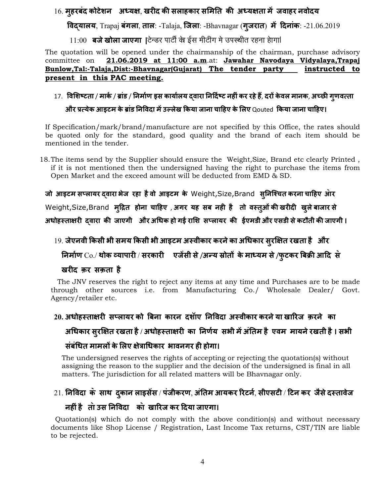#### 16. **मुहरबंद कोटेशन अध्यक्ष, खरीद की सलाहकार समिति की अध्यक्षता में जवाहर नवोदय**

 **वयालय**, Trapaj **बंगला**, **ताल**: -Talaja, **िजला**: -Bhavnagar (**गुजरात**) **म\* दनांक**: -21.06.2019

11:00 **बजे खोला जाएगा |**टेन्डर पार्टी के ईस मीटींग मे उपस्थीत रहना हागा|

The quotation will be opened under the chairmanship of the chairman, purchase advisory committee on **21.06.2019 at 11:00 a.m**.at: **Jawahar Navodaya Vidyalaya,Trapaj Bunlow,Tal:-Talaja,Dist:-Bhavnagar(Gujarat) The tender party instructed to present in this PAC meeting.** 

### 17. विशिष्टता / मार्क / ब्रांड / निर्माण इस कार्यालय द्**वारा निर्दिष्ट नहीं कर रहे हैं, दरों केवल मानक, अच्छी गुणवत्ता**

### **और )Aयेक आइटम के{ांड न वदा म\*उWलेख 4कया जाना चाहए के"लए** Qouted **4कया जाना चाहए।**

If Specification/mark/brand/manufacture are not specified by this Office, the rates should be quoted only for the standard, good quality and the brand of each item should be mentioned in the tender.

18.The items send by the Supplier should ensure the Weight,Size, Brand etc clearly Printed , if it is not mentioned then the undersigned having the right to purchase the items from Open Market and the exceed amount will be deducted from EMD & SD.

**जो आइटम सdलायर वारा भेज रहा हैवो आइटम के** Weight,Size,Brand **सनि\_चत ु करना चाहए आ॓ र** 

 $W$ eight,Size,Brand मृद्रित होना चाहिए , अगर यह सब नही है तो वस्त्ओं की खरीदी खुले बाजार से

 $3$ धोहस्ताक्षरी दवारा की जाएगी और अधिक हो गई राशि सप्लायर की ईएमडी और एसडी से कटौती की जाएगी।

### 19. **जेएनवी 4कसी भी समय 4कसी भी आइटम अ0वीकार करनेका अ7धकार सुरÄ1त रखता है और**

 $\frac{1}{2}$  निर्माण Co./ थोक व्यापारी / सरकारी एजेंसी से /अन्य स्रोतों के माध्यम से /फुटकर बिक्री आदि से

#### खरीद कर सक़ता है

 The JNV reserves the right to reject any items at any time and Purchases are to be made through other sources i.e. from Manufacturing Co./ Wholesale Dealer/ Govt. Agency/retailer etc.

### 20. अधोहस्ताक्षरी सप्लायर को बिना कारन दशॅाए निविदा अस्वीकार करने या खारिज क़रने का

#### **अ7धकार सुरÄ1त रखता है / अधोह0ता1र+ का नण&य सभी म\*अंतम है एवम मायनेरखती है। सभी**

#### **संबं7धत मामलk के"लए 1े3ा7धकार भावनगर ह+ होगा।**

 The undersigned reserves the rights of accepting or rejecting the quotation(s) without assigning the reason to the supplier and the decision of the undersigned is final in all matters. The jurisdiction for all related matters will be Bhavnagar only.

## 21. **न वदा क॓ साथ दकान ु लाइस\*स** / **पंजीकरण**, **अंतम आयकर lरटन&**, **सीएसट+** / **टन कर जैसेद0तावेज**

### **नह+ंहै ता॓उस न वदा का॓ खाlरज कर दया जाएगा।**

 Quotation(s) which do not comply with the above condition(s) and without necessary documents like Shop License / Registration, Last Income Tax returns, CST/TIN are liable to be rejected.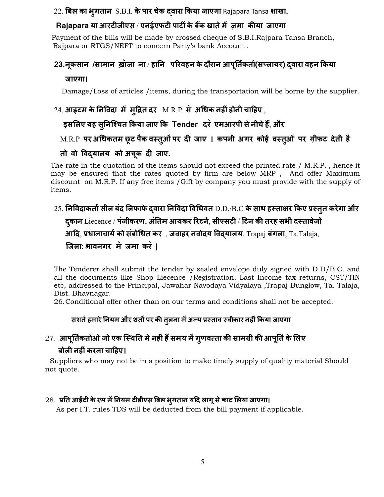22. **2बल का भुगतान** S.B.I. **केपार चेक वारा 4कया जाएगा** Rajapara Tansa **शाखा**,

### $Ra$ japara या आरटीजीएस / एनईएफटी पार्टी के बैंक खाते में ज़मा कीया जाएगा

 Payment of the bills will be made by crossed cheque of S.B.I.Rajpara Tansa Branch, Rajpara or RTGS/NEFT to concern Party's bank Account .

## **23.नूकसान /सामान ख़ा॓जा ना** / **हान पlरवहन केदौरान आपूत&कता&(सdलायर) वारा वहन 4कया जाएगा।**

Damage/Loss of articles /items, during the transportation will be borne by the supplier.

## 24. **आइटम केन वदा म\* मुsत दर** M.R.P. **स॓ अ7धक नह+ंहोनी चाहए** ,

**इस"लए यह सुनि\_चत 4कया जाए 4क Tender दर ॓ एमआरपी सेनीचेहD**, **और**

### M.R.P **पर अ7धकतम छूट पैक व0तुओंपर द+ जाए । कपनी अगर कोई व0तुओं पर ग़ीफट देती है**

## **तो वो विद्**यालय को अचूक दी जाए.

The rate in the quotation of the items should not exceed the printed rate / M.R.P. , hence it may be ensured that the rates quoted by firm are below MRP , And offer Maximum discount on M.R.P. If any free items /Gift by company you must provide with the supply of items.

## 25. **न वदाकता&सील बंद "लफाफेवारा न वदा व7धवत** D.D./B.C **केसाथ ह0ता1र 4कए )0तुत करेगा और**  $\frac{1}{2}$ दकान $\frac{1}{2}$  Liecence / पंजीकरण, अंतिम आयकर रिटर्न, सीएसटी / टिन की तरह सभी दस्तावेजों **आद**, **)धानाचाय&को संबो7धत कर** , **जवाहर नवोदय वयालय**, Trapaj **बंगला**, Ta.Talaja, **िजला: भावनगर म॓ जमा कर ॓ |**

The Tenderer shall submit the tender by sealed envelope duly signed with D.D/B.C. and all the documents like Shop Liecence /Registration, Last Income tax returns, CST/TIN etc, addressed to the Principal, Jawahar Navodaya Vidyalaya ,Trapaj Bunglow, Ta. Talaja, Dist. Bhavnagar.

26.Conditional offer other than on our terms and conditions shall not be accepted.

### **सशत&हमारेनयम और शतC पर क# तलना ु म\*अXय )0ताव 0वीकार नह+ं4कया जाएगा**

## 27. **आपूत&कता&ओंजो एक ि0थत म\*नह+ंहDसमय म\*गुणवAता क# सामpी क# आपूत&के"लए बोल+ नह+ंकरना चाहए।**

 Suppliers who may not be in a position to make timely supply of quality material Should not quote.

#### $28.$  प्रति आईटी के रूप में नियम टीडीएस बिल भ्**गतान यदि लागू से काट लिया जाएगा।**

As per I.T. rules TDS will be deducted from the bill payment if applicable.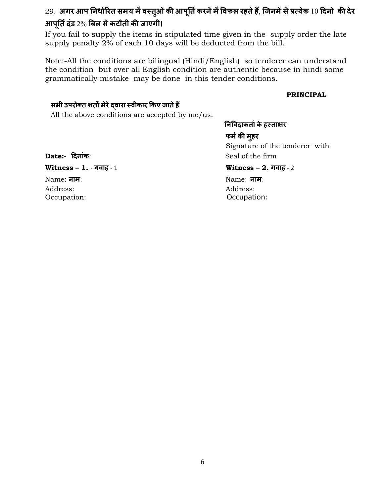## 29. अगर आप निर्धारित समय में वस्तुओं की आपूर्ति करने में विफल रहते हैं, जिनमें से प्रत्येक 10 दिनों की देर  $3$ अर्पूर्ति दंड 2% बिल से कटौती की जाएगी।

If you fail to supply the items in stipulated time given in the supply order the late supply penalty 2% of each 10 days will be deducted from the bill.

Note:-All the conditions are bilingual (Hindi/English) so tenderer can understand the condition but over all English condition are authentic because in hindi some grammatically mistake may be done in this tender conditions.

#### **PRINCIPAL**

#### $R$  सभी उपरोक्त शर्तों मेरे दवारा स्वीकार किए जाते हैं

All the above conditions are accepted by me/us.

#### स्त्री संस्कृतिक संस्कृतिक संस्कृतिक संस्कृतिक संस्कृतिक संस्कृतिक संस्कृतिक संस्कृतिक संस्कृतिक संस्कृतिक संस् **निविदाकर्ता के हस्ताक्षर फम&क# महरु** Signature of the tenderer with **Date:- दनांक**:. Seal of the firm

**Witness – 1.** - **गवाह** - 1 **Witness – 2. गवाह** - 2

Name: **नाम**: Name: **नाम**: Address: Address: Occupation: Contract of Contract of Contract of Contract of Contract of Contract of Contract of Contract of Contract of Contract of Contract of Contract of Contract of Contract of Contract of Contract of Contract of Contra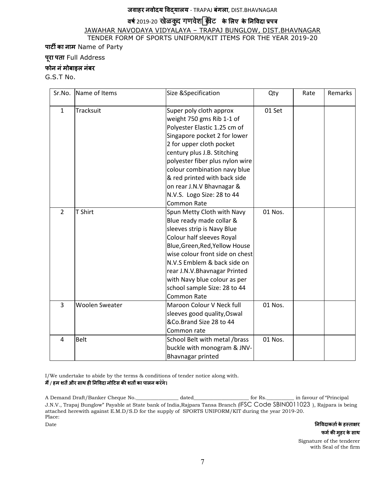#### **जवाहर नवोदय वयालय** - TRAPAJ **बंगला**, DIST.BHAVNAGAR

## वर्ष 2019-20 खेळकुट गणवेशर्व्यकेट के लिए के निविदा प्रपत्र

#### JAWAHAR NAVODAYA VIDYALAYA – TRAPAJ BUNGLOW, DIST.BHAVNAGAR TENDER FORM OF SPORTS UNIFORM/KIT ITEMS FOR THE YEAR 2019-20

**पाटÉ का नाम** Name of Party

#### **पूरा पता** Full Address

#### **फोन नंमोबाइल नंबर**

G.S.T No.

| Sr.No.         | Name of Items         | Size & Specification                                                                                                                                                                                                                                                                                                                                                | Qty     | Rate | Remarks |
|----------------|-----------------------|---------------------------------------------------------------------------------------------------------------------------------------------------------------------------------------------------------------------------------------------------------------------------------------------------------------------------------------------------------------------|---------|------|---------|
| $\mathbf{1}$   | Tracksuit             | Super poly cloth approx<br>weight 750 gms Rib 1-1 of<br>Polyester Elastic 1.25 cm of<br>Singapore pocket 2 for lower<br>2 for upper cloth pocket<br>century plus J.B. Stitching<br>polyester fiber plus nylon wire<br>colour combination navy blue<br>& red printed with back side<br>on rear J.N.V Bhavnagar &<br>N.V.S. Logo Size: 28 to 44<br><b>Common Rate</b> | 01 Set  |      |         |
| $\overline{2}$ | T Shirt               | Spun Metty Cloth with Navy<br>Blue ready made collar &<br>sleeves strip is Navy Blue<br>Colour half sleeves Royal<br>Blue, Green, Red, Yellow House<br>wise colour front side on chest<br>N.V.S Emblem & back side on<br>rear J.N.V.Bhavnagar Printed<br>with Navy blue colour as per<br>school sample Size: 28 to 44<br><b>Common Rate</b>                         | 01 Nos. |      |         |
| $\overline{3}$ | <b>Woolen Sweater</b> | Maroon Colour V Neck full<br>sleeves good quality, Oswal<br>&Co.Brand Size 28 to 44<br>Common rate                                                                                                                                                                                                                                                                  | 01 Nos. |      |         |
| 4              | Belt                  | School Belt with metal /brass<br>buckle with monogram & JNV-<br>Bhavnagar printed                                                                                                                                                                                                                                                                                   | 01 Nos. |      |         |

I/We undertake to abide by the terms & conditions of tender notice along with. **म** / **D हम शतèऔर साथ ह+ न वदा नोटस क# शतC का पालन कर ॓ग॓।**

A Demand Draft/Banker Cheque No.\_\_\_\_\_\_\_\_\_\_\_\_\_\_\_\_\_ dated\_\_\_\_\_\_\_\_\_\_\_\_\_\_\_\_\_\_\_\_\_\_ for Rs.\_\_\_\_\_\_\_\_\_\_\_ in favour of "Principal J.N.V., Trapaj Bunglow" Payable at State bank of India,Rajpara Tansa Branch (IFSC Code SBIN0011023 ), Rajpara is being attached herewith against E.M.D/S.D for the supply of SPORTS UNIFORM/KIT during the year 2019-20. Place:

Date **न निविदाकर्ता के हस्ताक्षर फम&क# मुहर केसाथ**

 Signature of the tenderer with Seal of the firm